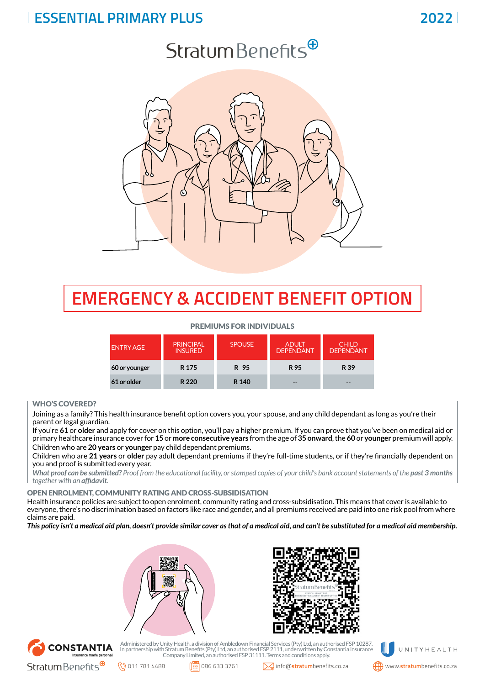# **ESSENTIAL PRIMARY PLUS**

# $Stratum Benefits^{\oplus}$



# **EMERGENCY & ACCIDENT BENEFIT OPTION**

#### PREMIUMS FOR INDIVIDUALS

| <b>ENTRY AGE</b> | <b>PRINCIPAL</b><br><b>INSURED</b> | <b>SPOUSE</b> | <b>ADULT</b><br><b>DEPENDANT</b> | <b>CHILD</b><br><b>DEPENDANT</b> |
|------------------|------------------------------------|---------------|----------------------------------|----------------------------------|
| 60 or younger    | R <sub>175</sub>                   | R 95          | R 95                             | R 39                             |
| 61 or older      | R 220                              | R 140         | $- -$                            | $- -$                            |

#### WHO'S COVERED?

Joining as a family? This health insurance benefit option covers you, your spouse, and any child dependant as long as you're their parent or legal guardian.

If you're **61** or **older** and apply for cover on this option, you'll pay a higher premium. If you can prove that you've been on medical aid or primary healthcare insurance cover for **15** or **more consecutive years** from the age of **35 onward**, the **60** or **younger** premium will apply. Children who are **20 years** or **younger** pay child dependant premiums.

Children who are **21 years** or **older** pay adult dependant premiums if they're full-time students, or if they're financially dependent on you and proof is submitted every year.

*What proof can be submitted? Proof from the educational facility, or stamped copies of your child's bank account statements of the past 3 months together with an affidavit.*

#### OPEN ENROLMENT, COMMUNITY RATING AND CROSS-SUBSIDISATION

Health insurance policies are subject to open enrolment, community rating and cross-subsidisation. This means that cover is available to everyone, there's no discrimination based on factors like race and gender, and all premiums received are paid into one risk pool from where claims are paid.

*This policy isn't a medical aid plan, doesn't provide similar cover as that of a medical aid, and can't be substituted for a medical aid membership.*







Administered by Unity Health, a division of Ambledown Financial Services (Pty) Ltd, an authorised FSP 10287.<br>In partnership with Stratum Benefits (Pty) Ltd, an authorised FSP 2111, underwritten by Constantia Insurance<br>Comp



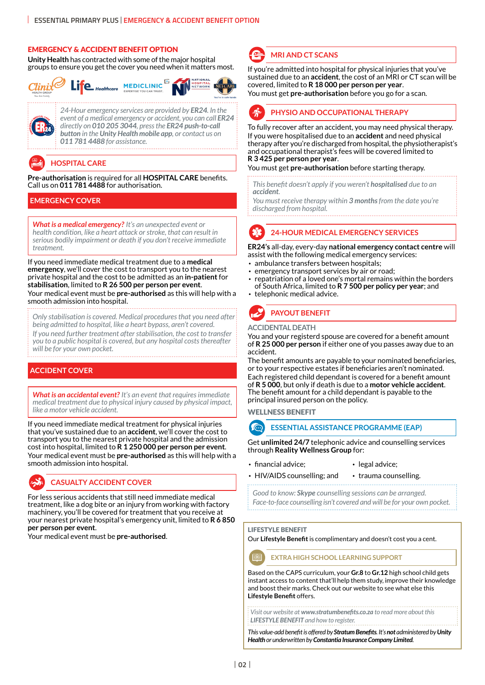#### EMERGENCY & ACCIDENT BENEFIT OPTION

**Unity Health** has contracted with some of the major hospital groups to ensure you get the cover you need when it matters most.



*24-Hour emergency services are provided by ER24. In the event of a medical emergency or accident, you can call ER24 directly on 010 205 3044, press the ER24 push-to-call button in the Unity Health mobile app, or contact us on 011 781 4488 for assistance.*

# **HOSPITAL CARE**

**Pre-authorisation** is required for all **HOSPITAL CARE** benefits. Call us on **011 781 4488** for authorisation.

#### **EMERGENCY COVER**

*What is a medical emergency? It's an unexpected event or health condition, like a heart attack or stroke, that can result in serious bodily impairment or death if you don't receive immediate treatment.* 

If you need immediate medical treatment due to a **medical emergency**, we'll cover the cost to transport you to the nearest private hospital and the cost to be admitted as an **in-patient** for **stabilisation**, limited to **R 26 500 per person per event**.

Your medical event must be **pre-authorised** as this will help with a smooth admission into hospital.

*Only stabilisation is covered. Medical procedures that you need after being admitted to hospital, like a heart bypass, aren't covered.* 

*If you need further treatment after stabilisation, the cost to transfer you to a public hospital is covered, but any hospital costs thereafter will be for your own pocket.*

### **ACCIDENT COVER**

*What is an accidental event? It's an event that requires immediate medical treatment due to physical injury caused by physical impact, like a motor vehicle accident.*

If you need immediate medical treatment for physical injuries that you've sustained due to an **accident**, we'll cover the cost to transport you to the nearest private hospital and the admission cost into hospital, limited to **R 1 250 000 per person per event**. Your medical event must be **pre-authorised** as this will help with a smooth admission into hospital.

### **CASUALTY ACCIDENT COVER**

For less serious accidents that still need immediate medical treatment, like a dog bite or an injury from working with factory machinery, you'll be covered for treatment that you receive at your nearest private hospital's emergency unit, limited to **R 6 850 per person per event**.

Your medical event must be **pre-authorised**.



### **MRI AND CT SCANS**

If you're admitted into hospital for physical injuries that you've sustained due to an **accident**, the cost of an MRI or CT scan will be covered, limited to **R 18 000 per person per year**.

You must get **pre-authorisation** before you go for a scan.



#### **PHYSIO AND OCCUPATIONAL THERAPY**

To fully recover after an accident, you may need physical therapy. If you were hospitalised due to an **accident** and need physical therapy after you're discharged from hospital, the physiotherapist's and occupational therapist's fees will be covered limited to **R 3 425 per person per year**.

You must get **pre-authorisation** before starting therapy.

*This benefit doesn't apply if you weren't hospitalised due to an accident.* 

*You must receive therapy within 3 months from the date you're discharged from hospital.*

# **24-HOUR MEDICAL EMERGENCY SERVICES**

**ER24's** all-day, every-day **national emergency contact centre** will assist with the following medical emergency services:

- ambulance transfers between hospitals;
- emergency transport services by air or road;
- repatriation of a loved one's mortal remains within the borders of South Africa, limited to **R 7 500 per policy per year**; and
- telephonic medical advice.

## **PAYOUT BENEFIT**

#### **ACCIDENTAL DEATH**

You and your registerd spouse are covered for a benefit amount of **R 25 000 per person** if either one of you passes away due to an accident.

The benefit amounts are payable to your nominated beneficiaries, or to your respective estates if beneficiaries aren't nominated. Each registered child dependant is covered for a benefit amount of **R 5 000**, but only if death is due to a **motor vehicle accident**. The benefit amount for a child dependant is payable to the principal insured person on the policy.

WELLNESS BENEFIT

**ESSENTIAL ASSISTANCE PROGRAMME (EAP)**

Get **unlimited 24/7** telephonic advice and counselling services through **Reality Wellness Group** for:

- financial advice; legal advice;
	-
- HIV/AIDS counselling; and trauma counselling.
	-

*Good to know: Skype counselling sessions can be arranged. Face-to-face counselling isn't covered and will be for your own pocket.*

#### LIFESTYLE BENEFIT

Our **Lifestyle Benefit** is complimentary and doesn't cost you a cent.



Based on the CAPS curriculum, your **Gr.8** to **Gr.12** high school child gets instant access to content that'll help them study, improve their knowledge and boost their marks. Check out our website to see what else this **Lifestyle Benefit** offers.

*Visit our website at www.stratumbenefits.co.za to read more about this LIFESTYLE BENEFIT and how to register.*

*This value-add benefit is offered by Stratum Benefits. It's not administered by Unity Health or underwritten by Constantia Insurance Company Limited.*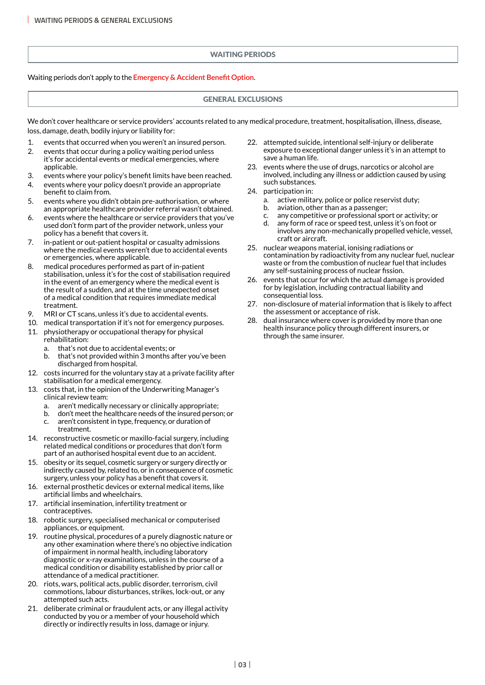#### WAITING PERIODS

#### Waiting periods don't apply to the **Emergency & Accident Benefit Option**.

#### GENERAL EXCLUSIONS

We don't cover healthcare or service providers' accounts related to any medical procedure, treatment, hospitalisation, illness, disease, loss, damage, death, bodily injury or liability for:

- 1. events that occurred when you weren't an insured person.
- 2. events that occur during a policy waiting period unless it's for accidental events or medical emergencies, where applicable.
- 3. events where your policy's benefit limits have been reached.
- 4. events where your policy doesn't provide an appropriate benefit to claim from.
- 5. events where you didn't obtain pre-authorisation, or where an appropriate healthcare provider referral wasn't obtained.
- 6. events where the healthcare or service providers that you've used don't form part of the provider network, unless your policy has a benefit that covers it.
- 7. in-patient or out-patient hospital or casualty admissions where the medical events weren't due to accidental events or emergencies, where applicable.
- 8. medical procedures performed as part of in-patient stabilisation, unless it's for the cost of stabilisation required in the event of an emergency where the medical event is the result of a sudden, and at the time unexpected onset of a medical condition that requires immediate medical treatment.
- 9. MRI or CT scans, unless it's due to accidental events.
- 10. medical transportation if it's not for emergency purposes. 11. physiotherapy or occupational therapy for physical
- rehabilitation:
	- that's not due to accidental events; or
	- b. that's not provided within 3 months after you've been discharged from hospital.
- 12. costs incurred for the voluntary stay at a private facility after stabilisation for a medical emergency.
- 13. costs that, in the opinion of the Underwriting Manager's clinical review team:
	- a. aren't medically necessary or clinically appropriate;
	- b. don't meet the healthcare needs of the insured person; or c. aren't consistent in type, frequency, or duration of
- treatment. 14. reconstructive cosmetic or maxillo-facial surgery, including related medical conditions or procedures that don't form
- part of an authorised hospital event due to an accident. 15. obesity or its sequel, cosmetic surgery or surgery directly or indirectly caused by, related to, or in consequence of cosmetic surgery, unless your policy has a benefit that covers it.
- 16. external prosthetic devices or external medical items, like artificial limbs and wheelchairs.
- 17. artificial insemination, infertility treatment or contraceptives.
- 18. robotic surgery, specialised mechanical or computerised appliances, or equipment.
- 19. routine physical, procedures of a purely diagnostic nature or any other examination where there's no objective indication of impairment in normal health, including laboratory diagnostic or x-ray examinations, unless in the course of a medical condition or disability established by prior call or attendance of a medical practitioner.
- 20. riots, wars, political acts, public disorder, terrorism, civil commotions, labour disturbances, strikes, lock-out, or any attempted such acts.
- 21. deliberate criminal or fraudulent acts, or any illegal activity conducted by you or a member of your household which directly or indirectly results in loss, damage or injury.
- 22. attempted suicide, intentional self-injury or deliberate exposure to exceptional danger unless it's in an attempt to save a human life.
- 23. events where the use of drugs, narcotics or alcohol are involved, including any illness or addiction caused by using such substances.
- 24. participation in:
	- a. active military, police or police reservist duty;
	- b. aviation, other than as a passenger;
	- c. any competitive or professional sport or activity; or
	- d. any form of race or speed test, unless it's on foot or involves any non-mechanically propelled vehicle, vessel, craft or aircraft.
- 25. nuclear weapons material, ionising radiations or contamination by radioactivity from any nuclear fuel, nuclear waste or from the combustion of nuclear fuel that includes any self-sustaining process of nuclear fission.
- 26. events that occur for which the actual damage is provided for by legislation, including contractual liability and consequential loss.
- 27. non-disclosure of material information that is likely to affect the assessment or acceptance of risk.
- 28. dual insurance where cover is provided by more than one health insurance policy through different insurers, or through the same insurer.